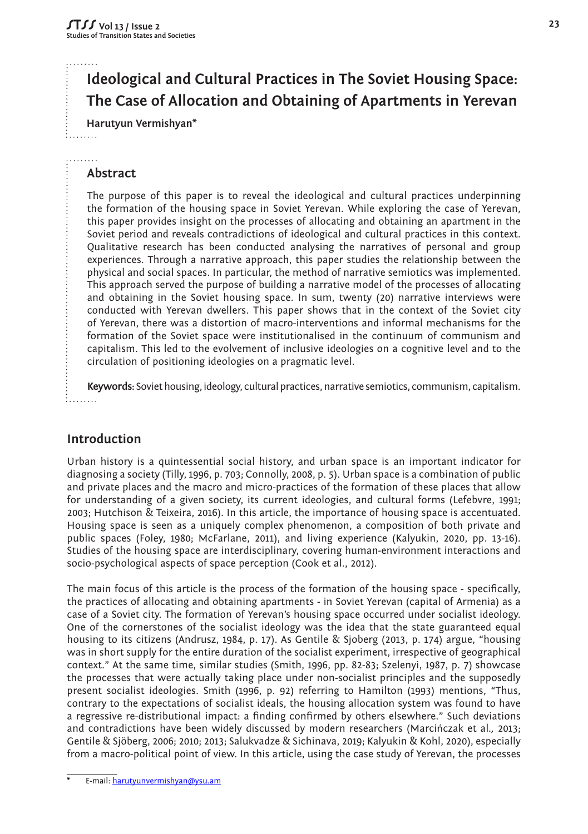# **Ideological and Cultural Practices in The Soviet Housing Space: The Case of Allocation and Obtaining of Apartments in Yerevan**

**Harutyun Vermishyan\***

#### . . . . . . . . **Abstract**

The purpose of this paper is to reveal the ideological and cultural practices underpinning the formation of the housing space in Soviet Yerevan. While exploring the case of Yerevan, this paper provides insight on the processes of allocating and obtaining an apartment in the Soviet period and reveals contradictions of ideological and cultural practices in this context. Qualitative research has been conducted analysing the narratives of personal and group experiences. Through a narrative approach, this paper studies the relationship between the physical and social spaces. In particular, the method of narrative semiotics was implemented. This approach served the purpose of building a narrative model of the processes of allocating and obtaining in the Soviet housing space. In sum, twenty (20) narrative interviews were conducted with Yerevan dwellers. This paper shows that in the context of the Soviet city of Yerevan, there was a distortion of macro-interventions and informal mechanisms for the formation of the Soviet space were institutionalised in the continuum of communism and capitalism. This led to the evolvement of inclusive ideologies on a cognitive level and to the circulation of positioning ideologies on a pragmatic level.

**Keywords:** Soviet housing, ideology, cultural practices, narrative semiotics, communism, capitalism.  $1. . . . . . . .$ 

## **Introduction**

Urban history is a quintessential social history, and urban space is an important indicator for diagnosing a society (Tilly, 1996, p. 703; Connolly, 2008, p. 5). Urban space is a combination of public and private places and the macro and micro-practices of the formation of these places that allow for understanding of a given society, its current ideologies, and cultural forms (Lefebvre, 1991; 2003; Hutchison & Teixeira, 2016). In this article, the importance of housing space is accentuated. Housing space is seen as a uniquely complex phenomenon, a composition of both private and public spaces (Foley, 1980; McFarlane, 2011), and living experience (Kalyukin, 2020, pp. 13-16). Studies of the housing space are interdisciplinary, covering human-environment interactions and socio-psychological aspects of space perception (Cook et al., 2012).

The main focus of this article is the process of the formation of the housing space - specifically, the practices of allocating and obtaining apartments - in Soviet Yerevan (capital of Armenia) as a case of a Soviet city. The formation of Yerevan's housing space occurred under socialist ideology. One of the cornerstones of the socialist ideology was the idea that the state guaranteed equal housing to its citizens (Andrusz, 1984, p. 17). As Gentile & Sjoberg (2013, p. 174) argue, "housing was in short supply for the entire duration of the socialist experiment, irrespective of geographical context." At the same time, similar studies (Smith, 1996, pp. 82-83; Szelenyi, 1987, p. 7) showcase the processes that were actually taking place under non-socialist principles and the supposedly present socialist ideologies. Smith (1996, p. 92) referring to Hamilton (1993) mentions, "Thus, contrary to the expectations of socialist ideals, the housing allocation system was found to have a regressive re-distributional impact: a finding confirmed by others elsewhere." Such deviations and contradictions have been widely discussed by modern researchers (Marcińczak et al*.,* 2013; Gentile & Sjöberg, 2006; 2010; 2013; Salukvadze & Sichinava, 2019; Kalyukin & Kohl, 2020), especially from a macro-political point of view. In this article, using the case study of Yerevan, the processes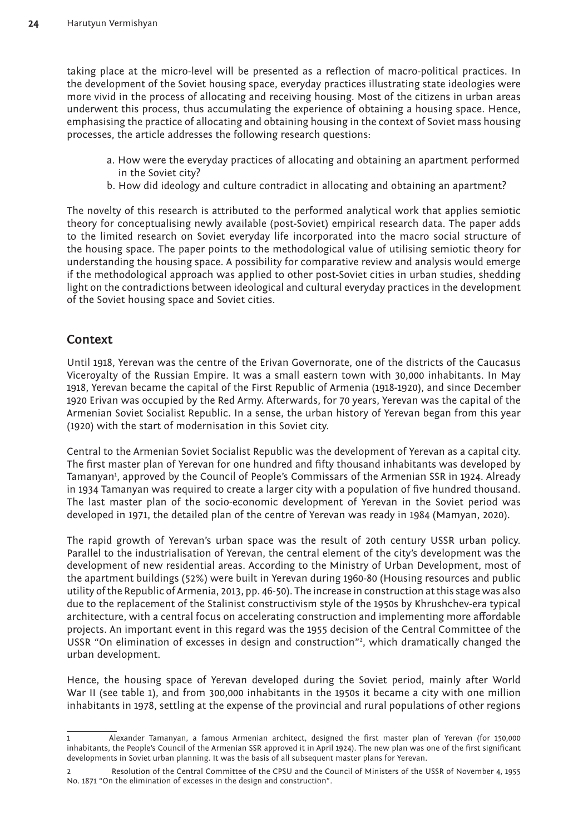taking place at the micro-level will be presented as a reflection of macro-political practices. In the development of the Soviet housing space, everyday practices illustrating state ideologies were more vivid in the process of allocating and receiving housing. Most of the citizens in urban areas underwent this process, thus accumulating the experience of obtaining a housing space. Hence, emphasising the practice of allocating and obtaining housing in the context of Soviet mass housing processes, the article addresses the following research questions:

- a. How were the everyday practices of allocating and obtaining an apartment performed in the Soviet city?
- b. How did ideology and culture contradict in allocating and obtaining an apartment?

The novelty of this research is attributed to the performed analytical work that applies semiotic theory for conceptualising newly available (post-Soviet) empirical research data. The paper adds to the limited research on Soviet everyday life incorporated into the macro social structure of the housing space. The paper points to the methodological value of utilising semiotic theory for understanding the housing space. A possibility for comparative review and analysis would emerge if the methodological approach was applied to other post-Soviet cities in urban studies, shedding light on the contradictions between ideological and cultural everyday practices in the development of the Soviet housing space and Soviet cities.

#### **Context**

Until 1918, Yerevan was the centre of the Erivan Governorate, one of the districts of the Caucasus Viceroyalty of the Russian Empire. It was a small eastern town with 30,000 inhabitants. In May 1918, Yerevan became the capital of the First Republic of Armenia (1918-1920), and since December 1920 Erivan was occupied by the Red Army. Afterwards, for 70 years, Yerevan was the capital of the Armenian Soviet Socialist Republic. In a sense, the urban history of Yerevan began from this year (1920) with the start of modernisation in this Soviet city.

Central to the Armenian Soviet Socialist Republic was the development of Yerevan as a capital city. The first master plan of Yerevan for one hundred and fifty thousand inhabitants was developed by Tamanyan<sup>1</sup>, approved by the Council of People's Commissars of the Armenian SSR in 1924. Already in 1934 Tamanyan was required to create a larger city with a population of five hundred thousand. The last master plan of the socio-economic development of Yerevan in the Soviet period was developed in 1971, the detailed plan of the centre of Yerevan was ready in 1984 (Mamyan, 2020).

The rapid growth of Yerevan's urban space was the result of 20th century USSR urban policy. Parallel to the industrialisation of Yerevan, the central element of the city's development was the development of new residential areas. According to the Ministry of Urban Development, most of the apartment buildings (52%) were built in Yerevan during 1960-80 (Housing resources and public utility of the Republic of Armenia, 2013, pp. 46-50). The increase in construction at this stage was also due to the replacement of the Stalinist constructivism style of the 1950s by Khrushchev-era typical architecture, with a central focus on accelerating construction and implementing more affordable projects. An important event in this regard was the 1955 decision of the Central Committee of the USSR "On elimination of excesses in design and construction"2 , which dramatically changed the urban development.

Hence, the housing space of Yerevan developed during the Soviet period, mainly after World War II (see table 1), and from 300,000 inhabitants in the 1950s it became a city with one million inhabitants in 1978, settling at the expense of the provincial and rural populations of other regions

<sup>1</sup> Alexander Tamanyan, a famous Armenian architect, designed the first master plan of Yerevan (for 150,000 inhabitants, the People's Council of the Armenian SSR approved it in April 1924). The new plan was one of the first significant developments in Soviet urban planning. It was the basis of all subsequent master plans for Yerevan.

<sup>2</sup> Resolution of the Central Committee of the CPSU and the Council of Ministers of the USSR of November 4, 1955 No. 1871 "On the elimination of excesses in the design and construction".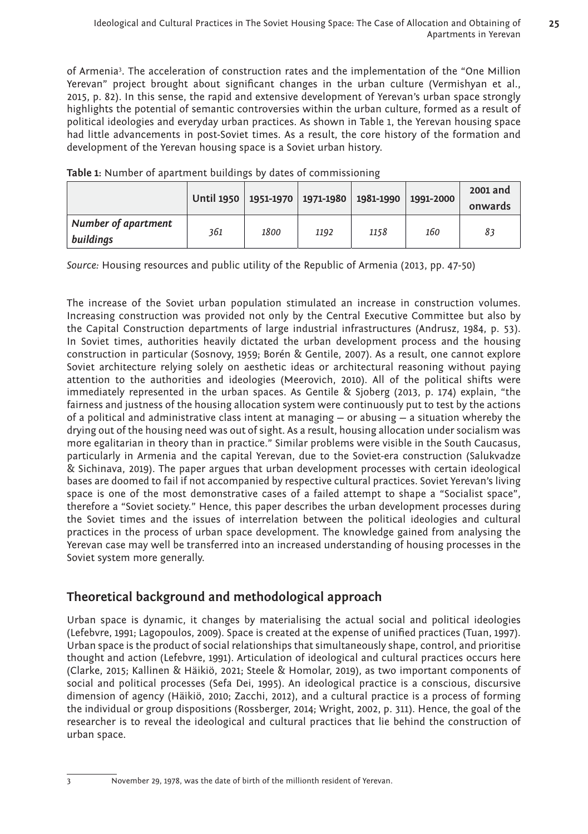of Armenia3 . The acceleration of construction rates and the implementation of the "One Million Yerevan" project brought about significant changes in the urban culture (Vermishyan et al., 2015, p. 82). In this sense, the rapid and extensive development of Yerevan's urban space strongly highlights the potential of semantic controversies within the urban culture, formed as a result of political ideologies and everyday urban practices. As shown in Table 1, the Yerevan housing space had little advancements in post-Soviet times. As a result, the core history of the formation and development of the Yerevan housing space is a Soviet urban history.

|                                  | Until 1950   1951-1970   1971-1980   1981-1990 |      |      |      | 1991-2000 | 2001 and      |
|----------------------------------|------------------------------------------------|------|------|------|-----------|---------------|
| Number of apartment<br>buildings | 361                                            | 1800 | 1192 | 1158 | 160       | onwards<br>83 |

**Table 1:** Number of apartment buildings by dates of commissioning

*Source:* Housing resources and public utility of the Republic of Armenia (2013, pp. 47-50)

The increase of the Soviet urban population stimulated an increase in construction volumes. Increasing construction was provided not only by the Central Executive Committee but also by the Capital Construction departments of large industrial infrastructures (Andrusz, 1984, p. 53). In Soviet times, authorities heavily dictated the urban development process and the housing construction in particular (Sosnovy, 1959; Borén & Gentile, 2007). As a result, one cannot explore Soviet architecture relying solely on aesthetic ideas or architectural reasoning without paying attention to the authorities and ideologies (Meerovich, 2010). All of the political shifts were immediately represented in the urban spaces. As Gentile & Sjoberg (2013, p. 174) explain, "the fairness and justness of the housing allocation system were continuously put to test by the actions of a political and administrative class intent at managing  $-$  or abusing  $-$  a situation whereby the drying out of the housing need was out of sight. As a result, housing allocation under socialism was more egalitarian in theory than in practice." Similar problems were visible in the South Caucasus, particularly in Armenia and the capital Yerevan, due to the Soviet-era construction (Salukvadze & Sichinava, 2019). The paper argues that urban development processes with certain ideological bases are doomed to fail if not accompanied by respective cultural practices. Soviet Yerevan's living space is one of the most demonstrative cases of a failed attempt to shape a "Socialist space", therefore a "Soviet society." Hence, this paper describes the urban development processes during the Soviet times and the issues of interrelation between the political ideologies and cultural practices in the process of urban space development. The knowledge gained from analysing the Yerevan case may well be transferred into an increased understanding of housing processes in the Soviet system more generally.

## **Theoretical background and methodological approach**

Urban space is dynamic, it changes by materialising the actual social and political ideologies (Lefebvre, 1991; Lagopoulos, 2009). Space is created at the expense of unified practices (Tuan, 1997). Urban space is the product of social relationships that simultaneously shape, control, and prioritise thought and action (Lefebvre, 1991). Articulation of ideological and cultural practices occurs here (Clarke, 2015; Kallinen & Häikiö, 2021; Steele & Homolar, 2019), as two important components of social and political processes (Sefa Dei, 1995). An ideological practice is a conscious, discursive dimension of agency (Häikiö, 2010; Zacchi, 2012), and a cultural practice is a process of forming the individual or group dispositions (Rossberger, 2014; Wright, 2002, p. 311). Hence, the goal of the researcher is to reveal the ideological and cultural practices that lie behind the construction of urban space.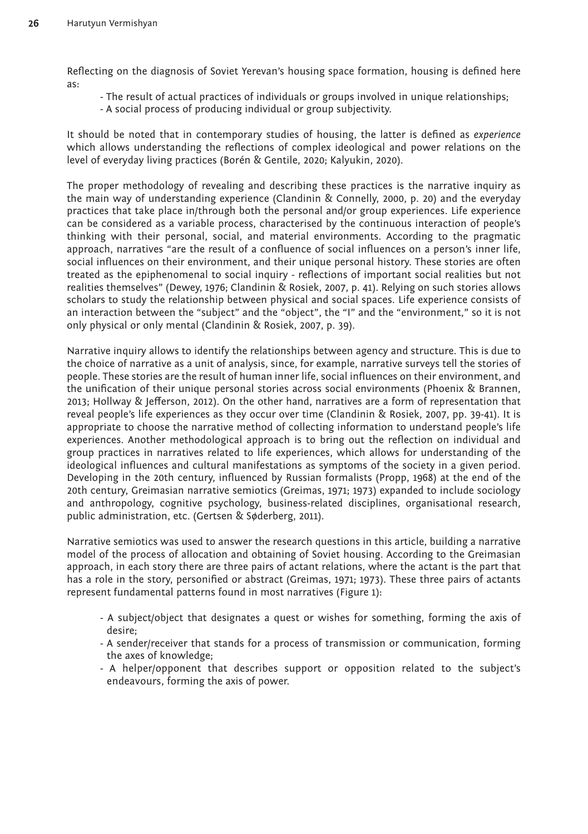Reflecting on the diagnosis of Soviet Yerevan's housing space formation, housing is defined here as:

- The result of actual practices of individuals or groups involved in unique relationships;
- A social process of producing individual or group subjectivity.

It should be noted that in contemporary studies of housing, the latter is defined as *experience*  which allows understanding the reflections of complex ideological and power relations on the level of everyday living practices (Borén & Gentile, 2020; Kalyukin, 2020).

The proper methodology of revealing and describing these practices is the narrative inquiry as the main way of understanding experience (Clandinin & Connelly, 2000, p. 20) and the everyday practices that take place in/through both the personal and/or group experiences. Life experience can be considered as a variable process, characterised by the continuous interaction of people's thinking with their personal, social, and material environments. According to the pragmatic approach, narratives "are the result of a confluence of social influences on a person's inner life, social influences on their environment, and their unique personal history. These stories are often treated as the epiphenomenal to social inquiry - reflections of important social realities but not realities themselves" (Dewey, 1976; Clandinin & Rosiek, 2007, p. 41). Relying on such stories allows scholars to study the relationship between physical and social spaces. Life experience consists of an interaction between the "subject" and the "object", the "I" and the "environment," so it is not only physical or only mental (Clandinin & Rosiek, 2007, p. 39).

Narrative inquiry allows to identify the relationships between agency and structure. This is due to the choice of narrative as a unit of analysis, since, for example, narrative surveys tell the stories of people. These stories are the result of human inner life, social influences on their environment, and the unification of their unique personal stories across social environments (Phoenix & Brannen, 2013; Hollway & Jefferson, 2012). On the other hand, narratives are a form of representation that reveal people's life experiences as they occur over time (Clandinin & Rosiek, 2007, pp. 39-41). It is appropriate to choose the narrative method of collecting information to understand people's life experiences. Another methodological approach is to bring out the reflection on individual and group practices in narratives related to life experiences, which allows for understanding of the ideological influences and cultural manifestations as symptoms of the society in a given period. Developing in the 20th century, influenced by Russian formalists (Propp, 1968) at the end of the 20th century, Greimasian narrative semiotics (Greimas, 1971; 1973) expanded to include sociology and anthropology, cognitive psychology, business-related disciplines, organisational research, public administration, etc. (Gertsen & Søderberg, 2011).

Narrative semiotics was used to answer the research questions in this article, building a narrative model of the process of allocation and obtaining of Soviet housing. According to the Greimasian approach, in each story there are three pairs of actant relations, where the actant is the part that has a role in the story, personified or abstract (Greimas, 1971; 1973). These three pairs of actants represent fundamental patterns found in most narratives (Figure 1):

- A subject/object that designates a quest or wishes for something, forming the axis of desire;
- A sender/receiver that stands for a process of transmission or communication, forming the axes of knowledge;
- A helper/opponent that describes support or opposition related to the subject's endeavours, forming the axis of power.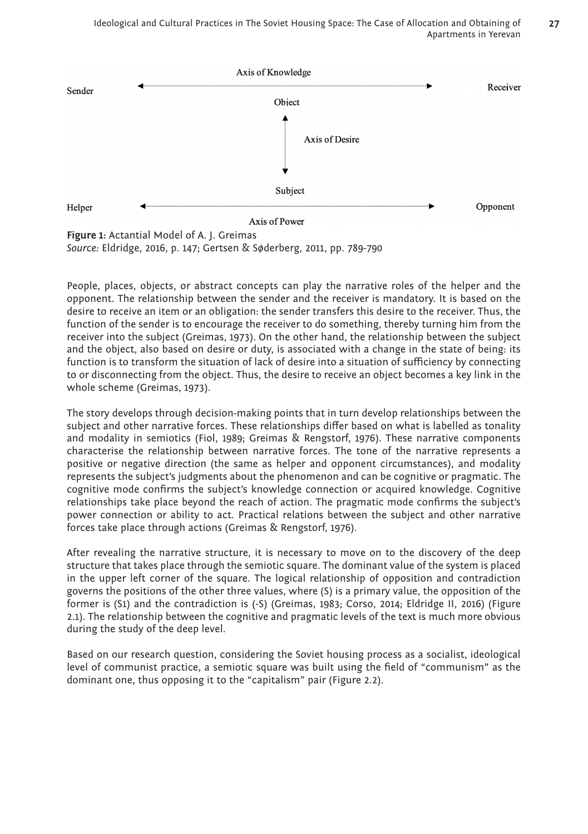

*Source:* Eldridge, 2016, p. 147; Gertsen & Søderberg, 2011, pp. 789-790

People, places, objects, or abstract concepts can play the narrative roles of the helper and the opponent. The relationship between the sender and the receiver is mandatory. It is based on the desire to receive an item or an obligation: the sender transfers this desire to the receiver. Thus, the function of the sender is to encourage the receiver to do something, thereby turning him from the receiver into the subject (Greimas, 1973). On the other hand, the relationship between the subject and the object, also based on desire or duty, is associated with a change in the state of being: its function is to transform the situation of lack of desire into a situation of sufficiency by connecting to or disconnecting from the object. Thus, the desire to receive an object becomes a key link in the whole scheme (Greimas, 1973).

The story develops through decision-making points that in turn develop relationships between the subject and other narrative forces. These relationships differ based on what is labelled as tonality and modality in semiotics (Fiol, 1989; Greimas & Rengstorf, 1976). These narrative components characterise the relationship between narrative forces. The tone of the narrative represents a positive or negative direction (the same as helper and opponent circumstances), and modality represents the subject's judgments about the phenomenon and can be cognitive or pragmatic. The cognitive mode confirms the subject's knowledge connection or acquired knowledge. Cognitive relationships take place beyond the reach of action. The pragmatic mode confirms the subject's power connection or ability to act. Practical relations between the subject and other narrative forces take place through actions (Greimas & Rengstorf, 1976).

After revealing the narrative structure, it is necessary to move on to the discovery of the deep structure that takes place through the semiotic square. The dominant value of the system is placed in the upper left corner of the square. The logical relationship of opposition and contradiction governs the positions of the other three values, where (S) is a primary value, the opposition of the former is (S1) and the contradiction is (-S) (Greimas, 1983; Corso, 2014; Eldridge II, 2016) (Figure 2.1). The relationship between the cognitive and pragmatic levels of the text is much more obvious during the study of the deep level.

Based on our research question, considering the Soviet housing process as a socialist, ideological level of communist practice, a semiotic square was built using the field of "communism" as the dominant one, thus opposing it to the "capitalism" pair (Figure 2.2).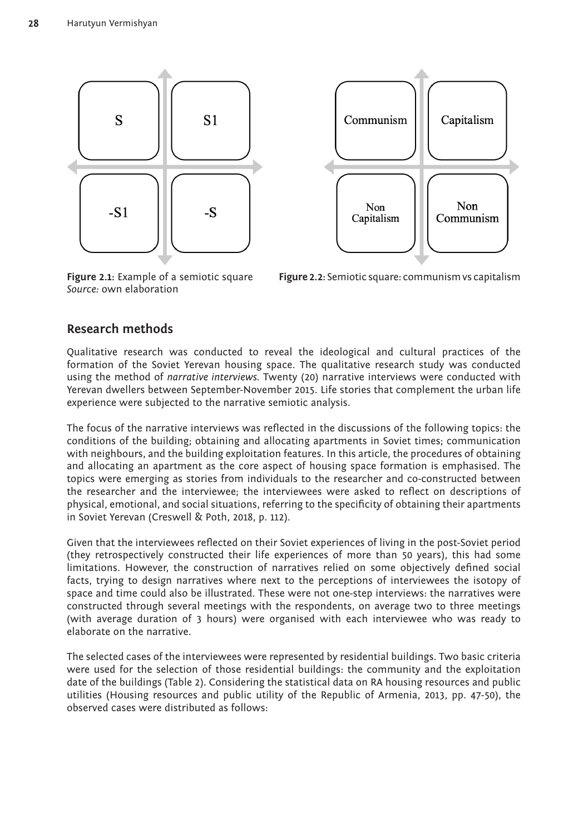



*Source:* own elaboration

**Figure 2.1:** Example of a semiotic square **Figure 2.2:** Semiotic square: communism vs capitalism

### **Research methods**

Qualitative research was conducted to reveal the ideological and cultural practices of the formation of the Soviet Yerevan housing space. The qualitative research study was conducted using the method of *narrative interviews.* Twenty (20) narrative interviews were conducted with Yerevan dwellers between September-November 2015. Life stories that complement the urban life experience were subjected to the narrative semiotic analysis.

The focus of the narrative interviews was reflected in the discussions of the following topics: the conditions of the building; obtaining and allocating apartments in Soviet times; communication with neighbours, and the building exploitation features. In this article, the procedures of obtaining and allocating an apartment as the core aspect of housing space formation is emphasised. The topics were emerging as stories from individuals to the researcher and co-constructed between the researcher and the interviewee; the interviewees were asked to reflect on descriptions of physical, emotional, and social situations, referring to the specificity of obtaining their apartments in Soviet Yerevan (Creswell & Poth, 2018, p. 112).

Given that the interviewees reflected on their Soviet experiences of living in the post-Soviet period (they retrospectively constructed their life experiences of more than 50 years), this had some limitations. However, the construction of narratives relied on some objectively defined social facts, trying to design narratives where next to the perceptions of interviewees the isotopy of space and time could also be illustrated. These were not one-step interviews: the narratives were constructed through several meetings with the respondents, on average two to three meetings (with average duration of 3 hours) were organised with each interviewee who was ready to elaborate on the narrative.

The selected cases of the interviewees were represented by residential buildings. Two basic criteria were used for the selection of those residential buildings: the community and the exploitation date of the buildings (Table 2). Considering the statistical data on RA housing resources and public utilities (Housing resources and public utility of the Republic of Armenia, 2013, pp. 47-50), the observed cases were distributed as follows: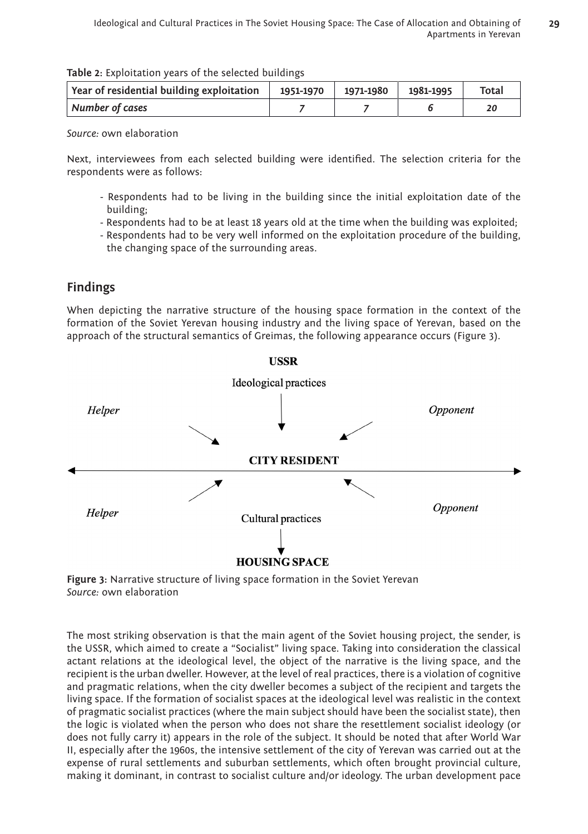| Table 2: Exploitation years of the selected buildings |  |  |
|-------------------------------------------------------|--|--|
|-------------------------------------------------------|--|--|

| Year of residential building exploitation $\vert$ 1951-1970 | $\mid$ 1971-1980   1981-1995 | Total |
|-------------------------------------------------------------|------------------------------|-------|
| Number of cases                                             |                              |       |

Next, interviewees from each selected building were identified. The selection criteria for the respondents were as follows:

- Respondents had to be living in the building since the initial exploitation date of the building;
- Respondents had to be at least 18 years old at the time when the building was exploited;
- Respondents had to be very well informed on the exploitation procedure of the building, the changing space of the surrounding areas.

## **Findings**

When depicting the narrative structure of the housing space formation in the context of the formation of the Soviet Yerevan housing industry and the living space of Yerevan, based on the approach of the structural semantics of Greimas, the following appearance occurs (Figure 3).



**Figure 3:** Narrative structure of living space formation in the Soviet Yerevan *Source:* own elaboration

The most striking observation is that the main agent of the Soviet housing project, the sender, is the USSR, which aimed to create a "Socialist" living space. Taking into consideration the classical actant relations at the ideological level, the object of the narrative is the living space, and the recipient is the urban dweller. However, at the level of real practices, there is a violation of cognitive and pragmatic relations, when the city dweller becomes a subject of the recipient and targets the living space. If the formation of socialist spaces at the ideological level was realistic in the context of pragmatic socialist practices (where the main subject should have been the socialist state), then the logic is violated when the person who does not share the resettlement socialist ideology (or does not fully carry it) appears in the role of the subject. It should be noted that after World War II, especially after the 1960s, the intensive settlement of the city of Yerevan was carried out at the expense of rural settlements and suburban settlements, which often brought provincial culture, making it dominant, in contrast to socialist culture and/or ideology. The urban development pace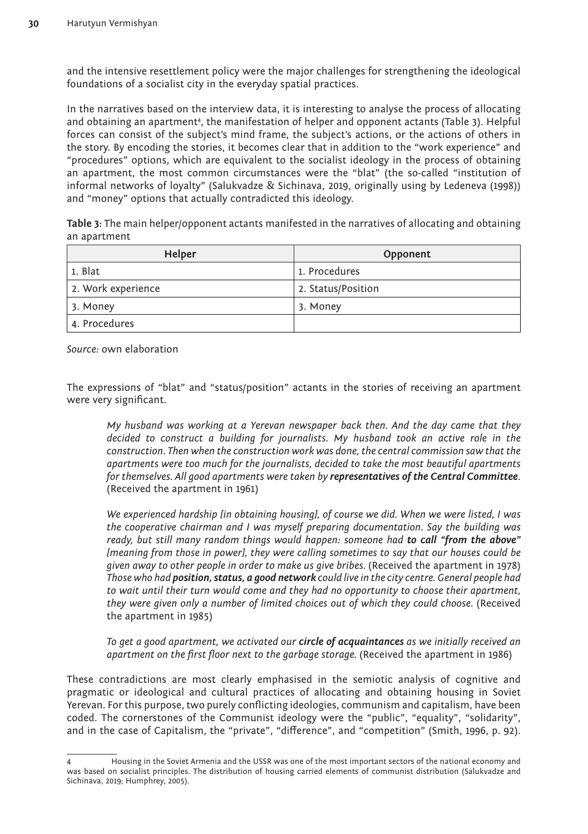and the intensive resettlement policy were the major challenges for strengthening the ideological foundations of a socialist city in the everyday spatial practices.

In the narratives based on the interview data, it is interesting to analyse the process of allocating and obtaining an apartment4, the manifestation of helper and opponent actants (Table 3). Helpful forces can consist of the subject's mind frame, the subject's actions, or the actions of others in the story. By encoding the stories, it becomes clear that in addition to the "work experience" and "procedures" options, which are equivalent to the socialist ideology in the process of obtaining an apartment, the most common circumstances were the "blat" (the so-called "institution of informal networks of loyalty" (Salukvadze & Sichinava, 2019, originally using by Ledeneva (1998)) and "money" options that actually contradicted this ideology.

**Table 3:** The main helper/opponent actants manifested in the narratives of allocating and obtaining an apartment

| Helper             | Opponent           |
|--------------------|--------------------|
| 1. Blat            | 1. Procedures      |
| 2. Work experience | 2. Status/Position |
| 3. Money           | 3. Money           |
| 4. Procedures      |                    |

*Source:* own elaboration

The expressions of "blat" and "status/position" actants in the stories of receiving an apartment were very significant.

*My husband was working at a Yerevan newspaper back then. And the day came that they decided to construct a building for journalists. My husband took an active role in the construction. Then when the construction work was done, the central commission saw that the apartments were too much for the journalists, decided to take the most beautiful apartments for themselves. All good apartments were taken by representatives of the Central Committee*. (Received the apartment in 1961)

*We experienced hardship [in obtaining housing], of course we did. When we were listed, I was the cooperative chairman and I was myself preparing documentation. Say the building was ready, but still many random things would happen: someone had to call "from the above" [meaning from those in power], they were calling sometimes to say that our houses could be given away to other people in order to make us give bribes.* (Received the apartment in 1978) *Those who had position, status, a good network could live in the city centre. General people had to wait until their turn would come and they had no opportunity to choose their apartment, they were given only a number of limited choices out of which they could choose.* (Received the apartment in 1985)

*To get a good apartment, we activated our circle of acquaintances as we initially received an apartment on the first floor next to the garbage storage.* (Received the apartment in 1986)

These contradictions are most clearly emphasised in the semiotic analysis of cognitive and pragmatic or ideological and cultural practices of allocating and obtaining housing in Soviet Yerevan. For this purpose, two purely conflicting ideologies, communism and capitalism, have been coded. The cornerstones of the Communist ideology were the "public", "equality", "solidarity", and in the case of Capitalism, the "private", "difference", and "competition" (Smith, 1996, p. 92).

<sup>4</sup> Housing in the Soviet Armenia and the USSR was one of the most important sectors of the national economy and was based on socialist principles. The distribution of housing carried elements of communist distribution (Salukvadze and Sichinava, 2019; Humphrey, 2005).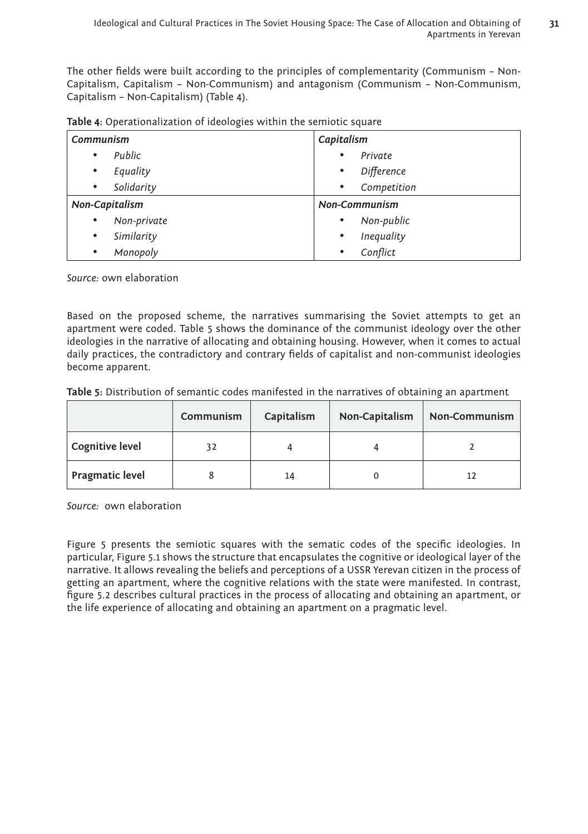The other fields were built according to the principles of complementarity (Communism – Non-Capitalism, Capitalism – Non-Communism) and antagonism (Communism – Non-Communism, Capitalism – Non-Capitalism) (Table 4).

| Communism      | Capitalism           |  |
|----------------|----------------------|--|
| Public         | Private              |  |
| $\bullet$      | $\bullet$            |  |
| Equality       | Difference           |  |
| $\bullet$      | $\bullet$            |  |
| Solidarity     | Competition          |  |
| $\bullet$      | $\bullet$            |  |
| Non-Capitalism | <b>Non-Communism</b> |  |
| Non-private    | Non-public           |  |
| $\bullet$      | $\bullet$            |  |
| Similarity     | Inequality           |  |
| $\bullet$      | $\bullet$            |  |
| Monopoly       | Conflict             |  |
| $\bullet$      | $\bullet$            |  |

*Source:* own elaboration

Based on the proposed scheme, the narratives summarising the Soviet attempts to get an apartment were coded. Table 5 shows the dominance of the communist ideology over the other ideologies in the narrative of allocating and obtaining housing. However, when it comes to actual daily practices, the contradictory and contrary fields of capitalist and non-communist ideologies become apparent.

| Table 5: Distribution of semantic codes manifested in the narratives of obtaining an apartment |  |  |
|------------------------------------------------------------------------------------------------|--|--|
|------------------------------------------------------------------------------------------------|--|--|

|                        | Communism | Capitalism | Non-Capitalism | Non-Communism |
|------------------------|-----------|------------|----------------|---------------|
| Cognitive level        | 32        |            |                |               |
| <b>Pragmatic level</b> |           | 14         |                |               |

*Source:* own elaboration

Figure 5 presents the semiotic squares with the sematic codes of the specific ideologies. In particular, Figure 5.1 shows the structure that encapsulates the cognitive or ideological layer of the narrative. It allows revealing the beliefs and perceptions of a USSR Yerevan citizen in the process of getting an apartment, where the cognitive relations with the state were manifested. In contrast, figure 5.2 describes cultural practices in the process of allocating and obtaining an apartment, or the life experience of allocating and obtaining an apartment on a pragmatic level.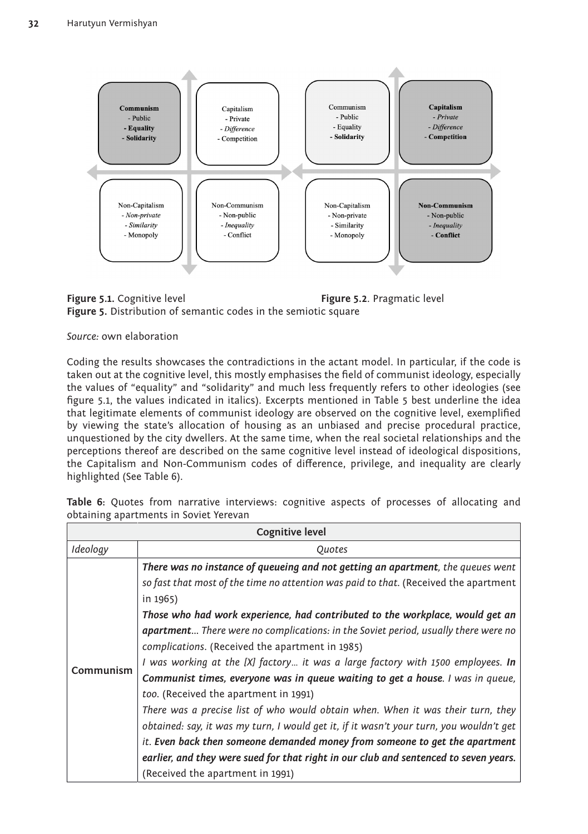



Coding the results showcases the contradictions in the actant model. In particular, if the code is taken out at the cognitive level, this mostly emphasises the field of communist ideology, especially the values of "equality" and "solidarity" and much less frequently refers to other ideologies (see figure 5.1, the values indicated in italics). Excerpts mentioned in Table 5 best underline the idea that legitimate elements of communist ideology are observed on the cognitive level, exemplified by viewing the state's allocation of housing as an unbiased and precise procedural practice, unquestioned by the city dwellers. At the same time, when the real societal relationships and the perceptions thereof are described on the same cognitive level instead of ideological dispositions, the Capitalism and Non-Communism codes of difference, privilege, and inequality are clearly highlighted (See Table 6).

| <b>Cognitive level</b> |                                                                                           |  |
|------------------------|-------------------------------------------------------------------------------------------|--|
| Ideology               | <i><u><b>Ouotes</b></u></i>                                                               |  |
|                        | There was no instance of queueing and not getting an apartment, the queues went           |  |
|                        | so fast that most of the time no attention was paid to that. (Received the apartment      |  |
|                        | in 1965)                                                                                  |  |
|                        | Those who had work experience, had contributed to the workplace, would get an             |  |
|                        | <b>apartment</b> There were no complications: in the Soviet period, usually there were no |  |
|                        | complications. (Received the apartment in 1985)                                           |  |
| Communism              | I was working at the [X] factory it was a large factory with 1500 employees. In           |  |
|                        | Communist times, everyone was in queue waiting to get a house. I was in queue,            |  |
|                        | too. (Received the apartment in 1991)                                                     |  |
|                        | There was a precise list of who would obtain when. When it was their turn, they           |  |
|                        | obtained: say, it was my turn, I would get it, if it wasn't your turn, you wouldn't get   |  |
|                        | <i>it.</i> Even back then someone demanded money from someone to get the apartment        |  |
|                        | earlier, and they were sued for that right in our club and sentenced to seven years.      |  |
|                        | (Received the apartment in 1991)                                                          |  |

**Table 6:** Quotes from narrative interviews: cognitive aspects of processes of allocating and obtaining apartments in Soviet Yerevan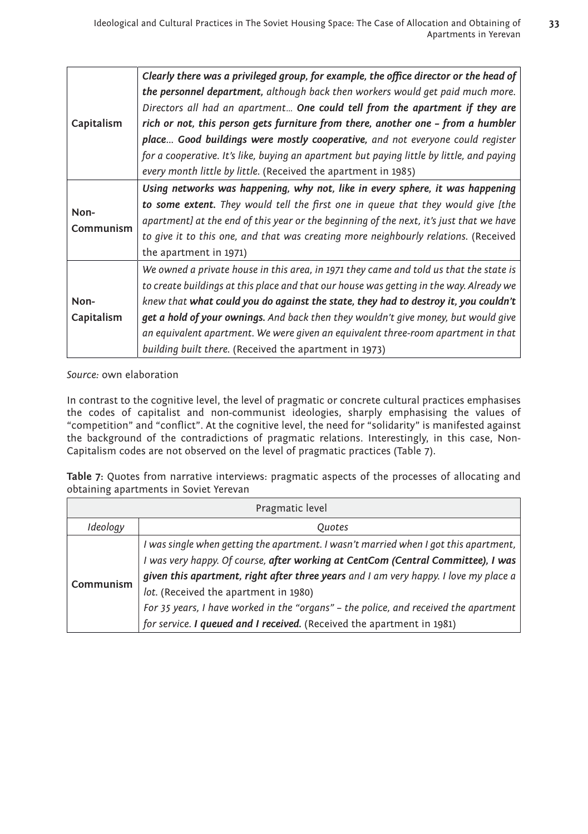| Capitalism         | Clearly there was a privileged group, for example, the office director or the head of<br>the personnel department, although back then workers would get paid much more.<br>Directors all had an apartment One could tell from the apartment if they are<br>rich or not, this person gets furniture from there, another one - from a humbler<br>place Good buildings were mostly cooperative, and not everyone could register                                                                                  |
|--------------------|---------------------------------------------------------------------------------------------------------------------------------------------------------------------------------------------------------------------------------------------------------------------------------------------------------------------------------------------------------------------------------------------------------------------------------------------------------------------------------------------------------------|
|                    | for a cooperative. It's like, buying an apartment but paying little by little, and paying<br>every month little by little. (Received the apartment in 1985)                                                                                                                                                                                                                                                                                                                                                   |
| Non-<br>Communism  | Using networks was happening, why not, like in every sphere, it was happening<br>to some extent. They would tell the first one in queue that they would give [the<br>apartment] at the end of this year or the beginning of the next, it's just that we have<br>to give it to this one, and that was creating more neighbourly relations. (Received<br>the apartment in 1971)                                                                                                                                 |
| Non-<br>Capitalism | We owned a private house in this area, in 1971 they came and told us that the state is<br>to create buildings at this place and that our house was getting in the way. Already we<br>knew that what could you do against the state, they had to destroy it, you couldn't<br>get a hold of your ownings. And back then they wouldn't give money, but would give<br>an equivalent apartment. We were given an equivalent three-room apartment in that<br>building built there. (Received the apartment in 1973) |

In contrast to the cognitive level, the level of pragmatic or concrete cultural practices emphasises the codes of capitalist and non-communist ideologies, sharply emphasising the values of "competition" and "conflict". At the cognitive level, the need for "solidarity" is manifested against the background of the contradictions of pragmatic relations. Interestingly, in this case, Non-Capitalism codes are not observed on the level of pragmatic practices (Table 7).

**Table 7:** Quotes from narrative interviews: pragmatic aspects of the processes of allocating and obtaining apartments in Soviet Yerevan

| Pragmatic level |                                                                                                                                                                                                                                                                                                                                                                                                                                                                             |  |  |
|-----------------|-----------------------------------------------------------------------------------------------------------------------------------------------------------------------------------------------------------------------------------------------------------------------------------------------------------------------------------------------------------------------------------------------------------------------------------------------------------------------------|--|--|
| Ideology        | Ouotes                                                                                                                                                                                                                                                                                                                                                                                                                                                                      |  |  |
| Communism       | I was single when getting the apartment. I wasn't married when I got this apartment,<br>I was very happy. Of course, after working at CentCom (Central Committee), I was<br>given this apartment, right after three years and I am very happy. I love my place a<br>lot. (Received the apartment in 1980)<br>For 35 years, I have worked in the "organs" - the police, and received the apartment<br>for service. I queued and I received. (Received the apartment in 1981) |  |  |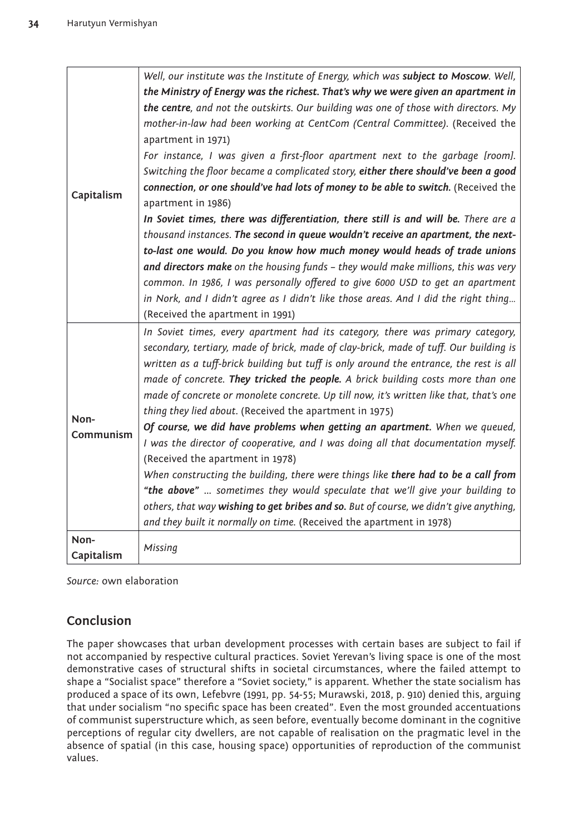|            | Well, our institute was the Institute of Energy, which was subject to Moscow. Well,    |
|------------|----------------------------------------------------------------------------------------|
|            | the Ministry of Energy was the richest. That's why we were given an apartment in       |
|            | the centre, and not the outskirts. Our building was one of those with directors. My    |
|            | mother-in-law had been working at CentCom (Central Committee). (Received the           |
|            | apartment in 1971)                                                                     |
|            | For instance, I was given a first-floor apartment next to the garbage [room].          |
|            | Switching the floor became a complicated story, either there should've been a good     |
|            | connection, or one should've had lots of money to be able to switch. (Received the     |
| Capitalism | apartment in 1986)                                                                     |
|            | In Soviet times, there was differentiation, there still is and will be. There are a    |
|            | thousand instances. The second in queue wouldn't receive an apartment, the next-       |
|            | to-last one would. Do you know how much money would heads of trade unions              |
|            | and directors make on the housing funds - they would make millions, this was very      |
|            | common. In 1986, I was personally offered to give 6000 USD to get an apartment         |
|            | in Nork, and I didn't agree as I didn't like those areas. And I did the right thing    |
|            | (Received the apartment in 1991)                                                       |
|            |                                                                                        |
|            | In Soviet times, every apartment had its category, there was primary category,         |
|            | secondary, tertiary, made of brick, made of clay-brick, made of tuff. Our building is  |
|            | written as a tuff-brick building but tuff is only around the entrance, the rest is all |
|            | made of concrete. They tricked the people. A brick building costs more than one        |
|            | made of concrete or monolete concrete. Up till now, it's written like that, that's one |
| Non-       | thing they lied about. (Received the apartment in 1975)                                |
| Communism  | Of course, we did have problems when getting an apartment. When we queued,             |
|            | I was the director of cooperative, and I was doing all that documentation myself.      |
|            | (Received the apartment in 1978)                                                       |
|            | When constructing the building, there were things like there had to be a call from     |
|            | "the above"  sometimes they would speculate that we'll give your building to           |
|            | others, that way wishing to get bribes and so. But of course, we didn't give anything, |
|            | and they built it normally on time. (Received the apartment in 1978)                   |
| Non-       |                                                                                        |
| Capitalism | Missing                                                                                |

## **Conclusion**

The paper showcases that urban development processes with certain bases are subject to fail if not accompanied by respective cultural practices. Soviet Yerevan's living space is one of the most demonstrative cases of structural shifts in societal circumstances, where the failed attempt to shape a "Socialist space" therefore a "Soviet society," is apparent. Whether the state socialism has produced a space of its own, Lefebvre (1991, pp. 54-55; Murawski, 2018, p. 910) denied this, arguing that under socialism "no specific space has been created". Even the most grounded accentuations of communist superstructure which, as seen before, eventually become dominant in the cognitive perceptions of regular city dwellers, are not capable of realisation on the pragmatic level in the absence of spatial (in this case, housing space) opportunities of reproduction of the communist values.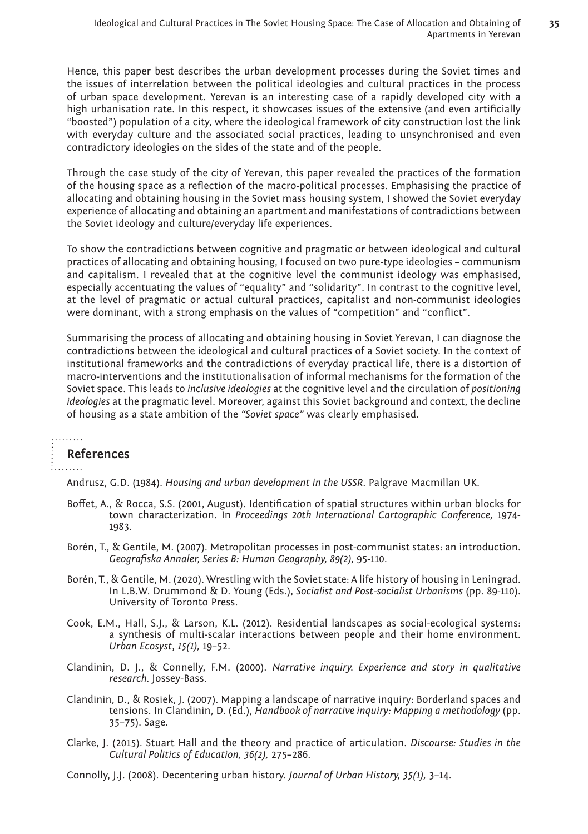Hence, this paper best describes the urban development processes during the Soviet times and the issues of interrelation between the political ideologies and cultural practices in the process of urban space development. Yerevan is an interesting case of a rapidly developed city with a high urbanisation rate. In this respect, it showcases issues of the extensive (and even artificially "boosted") population of a city, where the ideological framework of city construction lost the link with everyday culture and the associated social practices, leading to unsynchronised and even contradictory ideologies on the sides of the state and of the people.

Through the case study of the city of Yerevan, this paper revealed the practices of the formation of the housing space as a reflection of the macro-political processes. Emphasising the practice of allocating and obtaining housing in the Soviet mass housing system, I showed the Soviet everyday experience of allocating and obtaining an apartment and manifestations of contradictions between the Soviet ideology and culture/everyday life experiences.

To show the contradictions between cognitive and pragmatic or between ideological and cultural practices of allocating and obtaining housing, I focused on two pure-type ideologies – communism and capitalism. I revealed that at the cognitive level the communist ideology was emphasised, especially accentuating the values of "equality" and "solidarity". In contrast to the cognitive level, at the level of pragmatic or actual cultural practices, capitalist and non-communist ideologies were dominant, with a strong emphasis on the values of "competition" and "conflict".

Summarising the process of allocating and obtaining housing in Soviet Yerevan, I can diagnose the contradictions between the ideological and cultural practices of a Soviet society. In the context of institutional frameworks and the contradictions of everyday practical life, there is a distortion of macro-interventions and the institutionalisation of informal mechanisms for the formation of the Soviet space. This leads to *inclusive ideologies* at the cognitive level and the circulation of *positioning ideologies* at the pragmatic level. Moreover, against this Soviet background and context, the decline of housing as a state ambition of the *"Soviet space"* was clearly emphasised.

. . . . . . . .

#### **References**

inn na

Andrusz, G.D. (1984). *Housing and urban development in the USSR*. Palgrave Macmillan UK.

- Boffet, A., & Rocca, S.S. (2001, August). Identification of spatial structures within urban blocks for town characterization. In *Proceedings 20th International Cartographic Conference,* 1974- 1983.
- Borén, T., & Gentile, M. (2007). Metropolitan processes in post-communist states: an introduction. *Geografiska Annaler, Series B: Human Geography, 89(2),* 95-110.
- Borén, T., & Gentile, M. (2020). Wrestling with the Soviet state: A life history of housing in Leningrad. In L.B.W. Drummond & D. Young (Eds.), *Socialist and Post-socialist Urbanisms* (pp. 89-110). University of Toronto Press.
- Cook, E.M., Hall, S.J., & Larson, K.L. (2012). Residential landscapes as social-ecological systems: a synthesis of multi-scalar interactions between people and their home environment. *Urban Ecosyst*, *15(1),* 19–52.
- Clandinin, D. J., & Connelly, F.M. (2000). *Narrative inquiry. Experience and story in qualitative research.* Jossey-Bass.
- Clandinin, D., & Rosiek, J. (2007). Mapping a landscape of narrative inquiry: Borderland spaces and tensions. In Clandinin, D. (Ed.), *Handbook of narrative inquiry: Mapping a methodology* (pp. 35–75). Sage.
- Clarke, J. (2015). Stuart Hall and the theory and practice of articulation. *Discourse: Studies in the Cultural Politics of Education, 36(2),* 275–286.

Connolly, J.J. (2008). Decentering urban history. *Journal of Urban History, 35(1),* 3–14.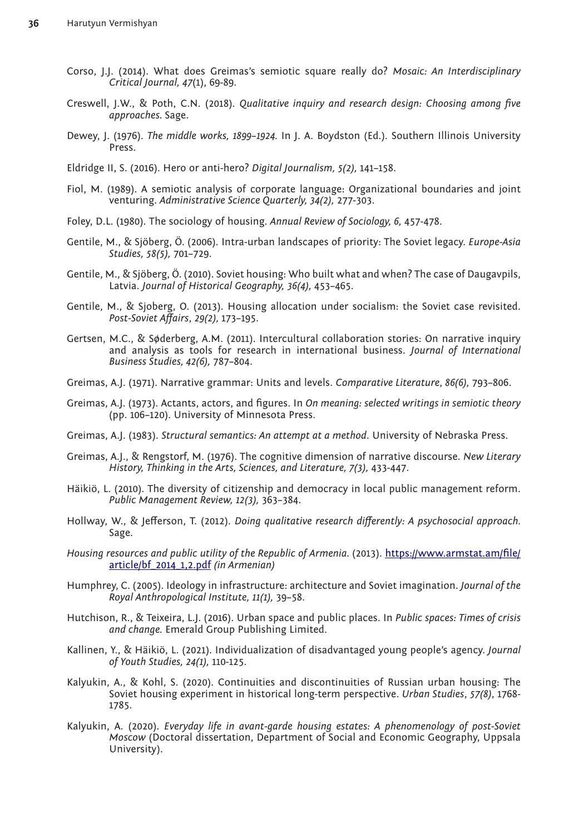- Corso, J.J. (2014). What does Greimas's semiotic square really do? *Mosaic: An Interdisciplinary Critical Journal, 47*(1), 69-89.
- Creswell, J.W., & Poth, C.N. (2018). *Qualitative inquiry and research design: Choosing among five approaches.* Sage.
- Dewey, J. (1976). *The middle works, 1899–1924.* In J. A. Boydston (Ed.). Southern Illinois University Press.
- Eldridge II, S. (2016). Hero or anti-hero? *Digital Journalism, 5(2),* 141–158.
- Fiol, M. (1989). A semiotic analysis of corporate language: Organizational boundaries and joint venturing. *Administrative Science Quarterly, 34(2),* 277-303.
- Foley, D.L. (1980). The sociology of housing. *Annual Review of Sociology, 6,* 457-478.
- Gentile, M., & Sjöberg, Ö. (2006). Intra-urban landscapes of priority: The Soviet legacy. *Europe-Asia Studies, 58(5),* 701–729.
- Gentile, M., & Sjöberg, Ö. (2010). Soviet housing: Who built what and when? The case of Daugavpils, Latvia. *Journal of Historical Geography, 36(4),* 453–465.
- Gentile, M., & Sjoberg, O. (2013). Housing allocation under socialism: the Soviet case revisited. *Post-Soviet Affairs*, *29(2),* 173–195.
- Gertsen, M.C., & Søderberg, A.M. (2011). Intercultural collaboration stories: On narrative inquiry and analysis as tools for research in international business. *Journal of International Business Studies, 42(6),* 787–804.
- Greimas, A.J. (1971). Narrative grammar: Units and levels. *Comparative Literature*, *86(6),* 793–806.
- Greimas, A.J. (1973). Actants, actors, and figures. In *On meaning: selected writings in semiotic theory*  (pp. 106–120). University of Minnesota Press.
- Greimas, A.J. (1983). *Structural semantics: An attempt at a method*. University of Nebraska Press.
- Greimas, A.J., & Rengstorf, M. (1976). The cognitive dimension of narrative discourse. *New Literary History, Thinking in the Arts, Sciences, and Literature, 7(3),* 433-447.
- Häikiö, L. (2010). The diversity of citizenship and democracy in local public management reform. *Public Management Review, 12(3),* 363–384.
- Hollway, W., & Jefferson, T. (2012). *Doing qualitative research differently: A psychosocial approach.* Sage.
- *Housing resources and public utility of the Republic of Armenia.* (2013). [https://www.armstat.am/file/](https://www.armstat.am/file/article/bf_2014_1,2.pdf) [article/bf\\_2014\\_1,2.pdf](https://www.armstat.am/file/article/bf_2014_1,2.pdf) *(in Armenian)*
- Humphrey, C. (2005). Ideology in infrastructure: architecture and Soviet imagination. *Journal of the Royal Anthropological Institute, 11(1),* 39–58.
- Hutchison, R., & Teixeira, L.J. (2016). Urban space and public places. In *Public spaces: Times of crisis and change.* Emerald Group Publishing Limited.
- Kallinen, Y., & Häikiö, L. (2021). Individualization of disadvantaged young people's agency. *Journal of Youth Studies, 24(1),* 110-125.
- Kalyukin, A., & Kohl, S. (2020). Continuities and discontinuities of Russian urban housing: The Soviet housing experiment in historical long-term perspective. *Urban Studies*, *57(8)*, 1768- 1785.
- Kalyukin, A. (2020). *Everyday life in avant-garde housing estates: A phenomenology of post-Soviet Moscow* (Doctoral dissertation, Department of Social and Economic Geography, Uppsala University).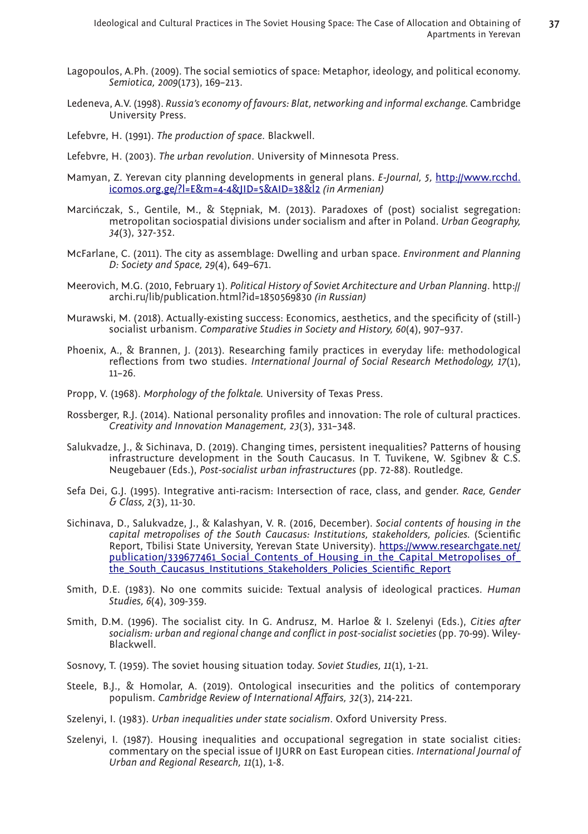- Lagopoulos, A.Ph. (2009). The social semiotics of space: Metaphor, ideology, and political economy. *Semiotica, 2009*(173), 169–213.
- Ledeneva, A.V. (1998). *Russia's economy of favours: Blat, networking and informal exchange.* Cambridge University Press.
- Lefebvre, H. (1991). *The production of space*. Blackwell.
- Lefebvre, H. (2003). *The urban revolution*. University of Minnesota Press.
- Mamyan, Z. Yerevan city planning developments in general plans. *E-Journal, 5,* [http://www.rcchd.](http://www.rcchd.icomos.org.ge/?l=E&m=4-4&JID=5&AID=38&l2) [icomos.org.ge/?l=E&m=4-4&JID=5&AID=38&l2](http://www.rcchd.icomos.org.ge/?l=E&m=4-4&JID=5&AID=38&l2) *(in Armenian)*
- Marcińczak, S., Gentile, M., & Stępniak, M. (2013). Paradoxes of (post) socialist segregation: metropolitan sociospatial divisions under socialism and after in Poland. *Urban Geography, 34*(3), 327-352.
- McFarlane, C. (2011). The city as assemblage: Dwelling and urban space. *Environment and Planning D: Society and Space, 29*(4), 649–671.
- Meerovich, M.G. (2010, February 1). *Political History of Soviet Architecture and Urban Planning*. [http://](http://archi.ru/lib/publication.html?id=1850569830) [archi.ru/lib/publication.html?id=1850569830](http://archi.ru/lib/publication.html?id=1850569830) *(in Russian)*
- Murawski, M. (2018). Actually-existing success: Economics, aesthetics, and the specificity of (still-) socialist urbanism. *Comparative Studies in Society and History, 60*(4), 907–937.
- Phoenix, A., & Brannen, J. (2013). Researching family practices in everyday life: methodological reflections from two studies. *International Journal of Social Research Methodology, 17*(1), 11–26.
- Propp, V. (1968). *Morphology of the folktale.* University of Texas Press.
- Rossberger, R.J. (2014). National personality profiles and innovation: The role of cultural practices. *Creativity and Innovation Management, 23*(3), 331–348.
- Salukvadze, J., & Sichinava, D. (2019). Changing times, persistent inequalities? Patterns of housing infrastructure development in the South Caucasus. In T. Tuvikene, W. Sgibnev & C.S. Neugebauer (Eds.), *Post-socialist urban infrastructures* (pp. 72-88). Routledge.
- Sefa Dei, G.J. (1995). Integrative anti-racism: Intersection of race, class, and gender. *Race, Gender & Class, 2*(3), 11-30.
- Sichinava, D., Salukvadze, J., & Kalashyan, V. R. (2016, December). *Social contents of housing in the capital metropolises of the South Caucasus: Institutions, stakeholders, policies.* (Scientific Report, Tbilisi State University, Yerevan State University). [https://www.researchgate.net/](https://www.researchgate.net/publication/339677461_Social_Contents_of_Housing_in_the_Capital_Metropolises_of_the_South_Caucasus_Institutions_Stakeholders_Policies_Scientific_Report) publication/339677461 Social Contents of Housing in the Capital Metropolises of the South Caucasus Institutions Stakeholders Policies Scientific Report
- Smith, D.E. (1983). No one commits suicide: Textual analysis of ideological practices. *Human Studies, 6*(4), 309-359.
- Smith, D.M. (1996). The socialist city. In G. Andrusz, M. Harloe & I. Szelenyi (Eds.), *Cities after socialism: urban and regional change and conflict in post‐socialist societies* (pp. 70-99). Wiley-Blackwell.
- Sosnovy, T. (1959). The soviet housing situation today. *Soviet Studies, 11*(1), 1-21.
- Steele, B.J., & Homolar, A. (2019). Ontological insecurities and the politics of contemporary populism. *Cambridge Review of International Affairs, 32*(3), 214-221.
- Szelenyi, I. (1983). *Urban inequalities under state socialism*. Oxford University Press.
- Szelenyi, I. (1987). Housing inequalities and occupational segregation in state socialist cities: commentary on the special issue of IJURR on East European cities. *International Journal of Urban and Regional Research, 11*(1), 1-8.